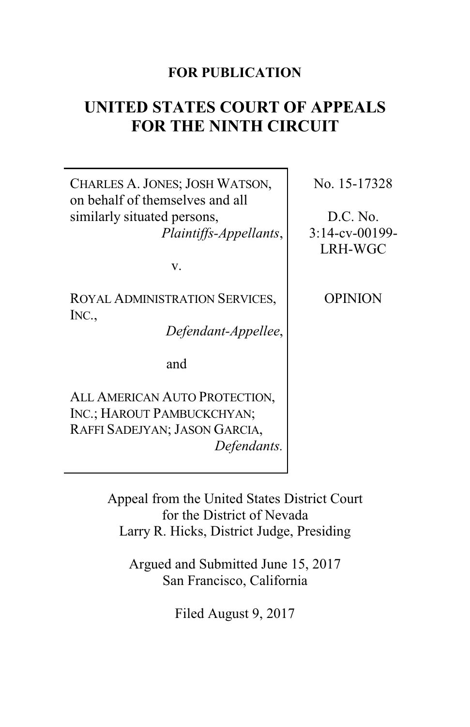# **FOR PUBLICATION**

# **UNITED STATES COURT OF APPEALS FOR THE NINTH CIRCUIT**

CHARLES A. JONES; JOSH WATSON, on behalf of themselves and all similarly situated persons, *Plaintiffs-Appellants*,

v.

ROYAL ADMINISTRATION SERVICES, INC.,

*Defendant-Appellee*,

and

ALL AMERICAN AUTO PROTECTION, INC.; HAROUT PAMBUCKCHYAN; RAFFI SADEJYAN; JASON GARCIA, *Defendants.* No. 15-17328

D.C. No. 3:14-cv-00199- LRH-WGC

**OPINION** 

Appeal from the United States District Court for the District of Nevada Larry R. Hicks, District Judge, Presiding

Argued and Submitted June 15, 2017 San Francisco, California

Filed August 9, 2017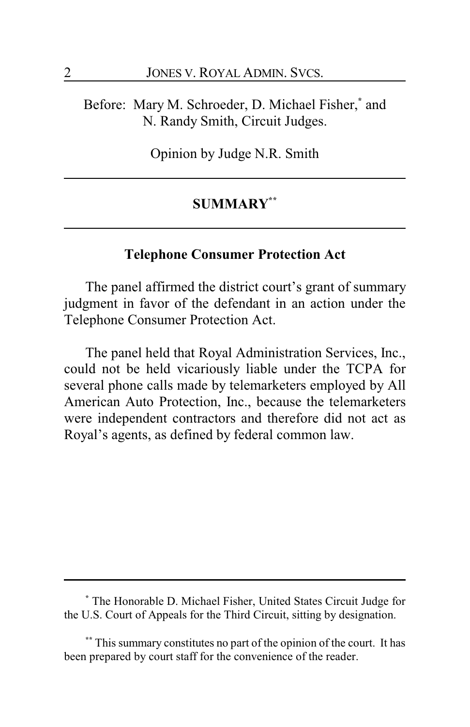Before: Mary M. Schroeder, D. Michael Fisher,**\*** and N. Randy Smith, Circuit Judges.

Opinion by Judge N.R. Smith

# **SUMMARY\*\***

# **Telephone Consumer Protection Act**

The panel affirmed the district court's grant of summary judgment in favor of the defendant in an action under the Telephone Consumer Protection Act.

The panel held that Royal Administration Services, Inc., could not be held vicariously liable under the TCPA for several phone calls made by telemarketers employed by All American Auto Protection, Inc., because the telemarketers were independent contractors and therefore did not act as Royal's agents, as defined by federal common law.

**<sup>\*</sup>** The Honorable D. Michael Fisher, United States Circuit Judge for the U.S. Court of Appeals for the Third Circuit, sitting by designation.

**<sup>\*\*</sup>** This summary constitutes no part of the opinion of the court. It has been prepared by court staff for the convenience of the reader.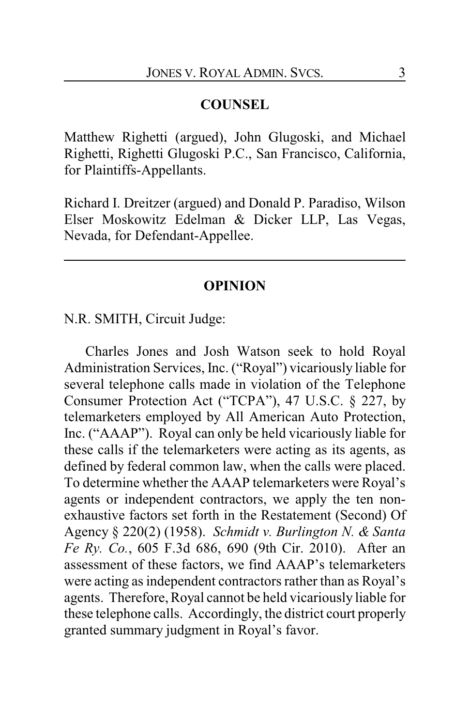## **COUNSEL**

Matthew Righetti (argued), John Glugoski, and Michael Righetti, Righetti Glugoski P.C., San Francisco, California, for Plaintiffs-Appellants.

Richard I. Dreitzer (argued) and Donald P. Paradiso, Wilson Elser Moskowitz Edelman & Dicker LLP, Las Vegas, Nevada, for Defendant-Appellee.

## **OPINION**

N.R. SMITH, Circuit Judge:

Charles Jones and Josh Watson seek to hold Royal Administration Services, Inc. ("Royal") vicariously liable for several telephone calls made in violation of the Telephone Consumer Protection Act ("TCPA"), 47 U.S.C. § 227, by telemarketers employed by All American Auto Protection, Inc. ("AAAP"). Royal can only be held vicariously liable for these calls if the telemarketers were acting as its agents, as defined by federal common law, when the calls were placed. To determine whether the AAAP telemarketers were Royal's agents or independent contractors, we apply the ten nonexhaustive factors set forth in the Restatement (Second) Of Agency § 220(2) (1958). *Schmidt v. Burlington N. & Santa Fe Ry. Co.*, 605 F.3d 686, 690 (9th Cir. 2010). After an assessment of these factors, we find AAAP's telemarketers were acting as independent contractors rather than as Royal's agents. Therefore, Royal cannot be held vicariously liable for these telephone calls. Accordingly, the district court properly granted summary judgment in Royal's favor.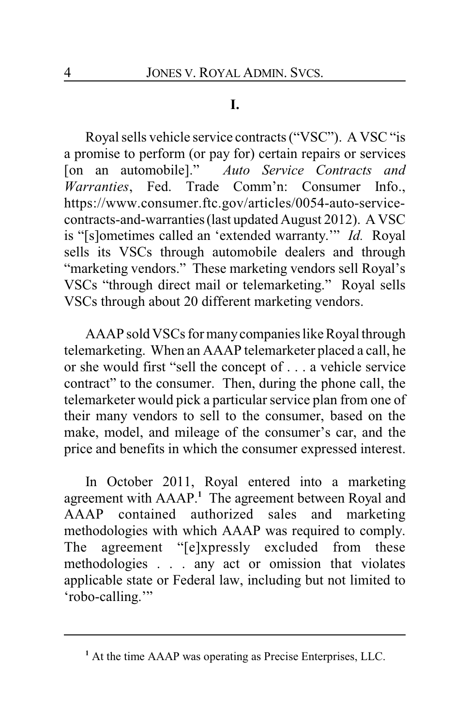# **I.**

Royal sells vehicle service contracts ("VSC"). A VSC "is a promise to perform (or pay for) certain repairs or services [on an automobile]." *Auto Service Contracts and Warranties*, Fed. Trade Comm'n: Consumer Info., https://www.consumer.ftc.gov/articles/0054-auto-servicecontracts-and-warranties (last updated August 2012). A VSC is "[s]ometimes called an 'extended warranty.'" *Id.* Royal sells its VSCs through automobile dealers and through "marketing vendors." These marketing vendors sell Royal's VSCs "through direct mail or telemarketing." Royal sells VSCs through about 20 different marketing vendors.

AAAP sold VSCs for manycompanies like Royal through telemarketing. When an AAAP telemarketer placed a call, he or she would first "sell the concept of . . . a vehicle service contract" to the consumer. Then, during the phone call, the telemarketer would pick a particular service plan from one of their many vendors to sell to the consumer, based on the make, model, and mileage of the consumer's car, and the price and benefits in which the consumer expressed interest.

In October 2011, Royal entered into a marketing agreement with AAAP.**<sup>1</sup>** The agreement between Royal and AAAP contained authorized sales and marketing methodologies with which AAAP was required to comply. The agreement "[e]xpressly excluded from these methodologies . . . any act or omission that violates applicable state or Federal law, including but not limited to 'robo-calling.'"

<sup>&</sup>lt;sup>1</sup> At the time AAAP was operating as Precise Enterprises, LLC.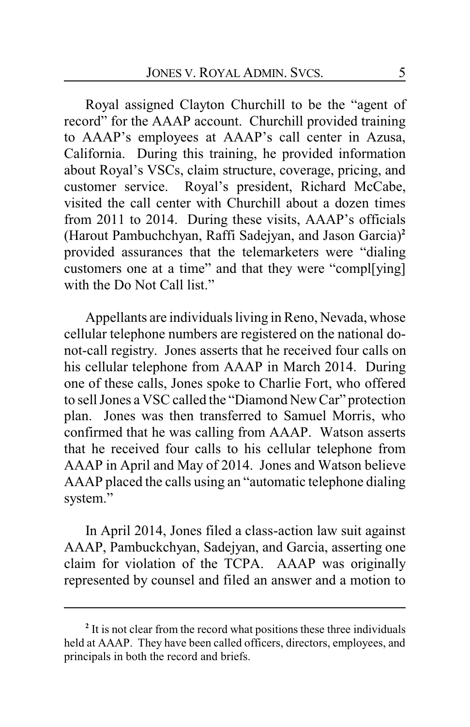Royal assigned Clayton Churchill to be the "agent of record" for the AAAP account. Churchill provided training to AAAP's employees at AAAP's call center in Azusa, California. During this training, he provided information about Royal's VSCs, claim structure, coverage, pricing, and customer service. Royal's president, Richard McCabe, visited the call center with Churchill about a dozen times from 2011 to 2014. During these visits, AAAP's officials (Harout Pambuchchyan, Raffi Sadejyan, and Jason Garcia)**<sup>2</sup>** provided assurances that the telemarketers were "dialing customers one at a time" and that they were "compl[ying] with the Do Not Call list."

Appellants are individuals living in Reno, Nevada, whose cellular telephone numbers are registered on the national donot-call registry. Jones asserts that he received four calls on his cellular telephone from AAAP in March 2014. During one of these calls, Jones spoke to Charlie Fort, who offered to sell Jones a VSC called the "Diamond New Car" protection plan. Jones was then transferred to Samuel Morris, who confirmed that he was calling from AAAP. Watson asserts that he received four calls to his cellular telephone from AAAP in April and May of 2014. Jones and Watson believe AAAP placed the calls using an "automatic telephone dialing system."

In April 2014, Jones filed a class-action law suit against AAAP, Pambuckchyan, Sadejyan, and Garcia, asserting one claim for violation of the TCPA. AAAP was originally represented by counsel and filed an answer and a motion to

**<sup>2</sup>** It is not clear from the record what positions these three individuals held at AAAP. They have been called officers, directors, employees, and principals in both the record and briefs.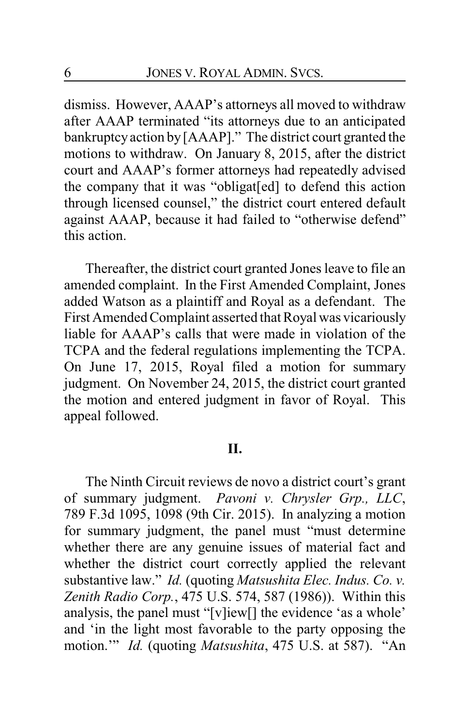dismiss. However, AAAP's attorneys all moved to withdraw after AAAP terminated "its attorneys due to an anticipated bankruptcyaction by[AAAP]." The district court granted the motions to withdraw. On January 8, 2015, after the district court and AAAP's former attorneys had repeatedly advised the company that it was "obligat[ed] to defend this action through licensed counsel," the district court entered default against AAAP, because it had failed to "otherwise defend" this action.

Thereafter, the district court granted Jones leave to file an amended complaint. In the First Amended Complaint, Jones added Watson as a plaintiff and Royal as a defendant. The First Amended Complaint asserted that Royal was vicariously liable for AAAP's calls that were made in violation of the TCPA and the federal regulations implementing the TCPA. On June 17, 2015, Royal filed a motion for summary judgment. On November 24, 2015, the district court granted the motion and entered judgment in favor of Royal. This appeal followed.

## **II.**

The Ninth Circuit reviews de novo a district court's grant of summary judgment. *Pavoni v. Chrysler Grp., LLC*, 789 F.3d 1095, 1098 (9th Cir. 2015). In analyzing a motion for summary judgment, the panel must "must determine whether there are any genuine issues of material fact and whether the district court correctly applied the relevant substantive law." *Id.* (quoting *Matsushita Elec. Indus. Co. v. Zenith Radio Corp.*, 475 U.S. 574, 587 (1986)). Within this analysis, the panel must "[v]iew[] the evidence 'as a whole' and 'in the light most favorable to the party opposing the motion.'" *Id.* (quoting *Matsushita*, 475 U.S. at 587). "An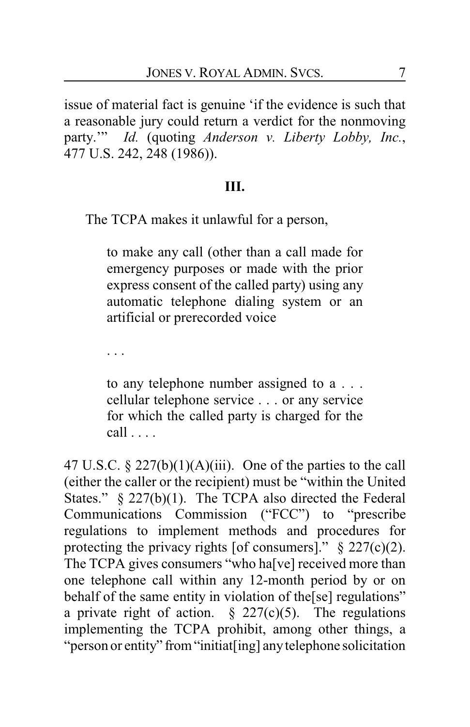issue of material fact is genuine 'if the evidence is such that a reasonable jury could return a verdict for the nonmoving party.'" *Id.* (quoting *Anderson v. Liberty Lobby, Inc.*, 477 U.S. 242, 248 (1986)).

#### **III.**

The TCPA makes it unlawful for a person,

to make any call (other than a call made for emergency purposes or made with the prior express consent of the called party) using any automatic telephone dialing system or an artificial or prerecorded voice

. . .

to any telephone number assigned to a . . . cellular telephone service . . . or any service for which the called party is charged for the call . . . .

47 U.S.C.  $\S 227(b)(1)(A)(iii)$ . One of the parties to the call (either the caller or the recipient) must be "within the United States." § 227(b)(1). The TCPA also directed the Federal Communications Commission ("FCC") to "prescribe regulations to implement methods and procedures for protecting the privacy rights [of consumers]."  $\S 227(c)(2)$ . The TCPA gives consumers "who ha<sup>[</sup>ve] received more than one telephone call within any 12-month period by or on behalf of the same entity in violation of the[se] regulations" a private right of action.  $\frac{227(c)}{5}$ . The regulations implementing the TCPA prohibit, among other things, a "person or entity" from"initiat[ing] anytelephone solicitation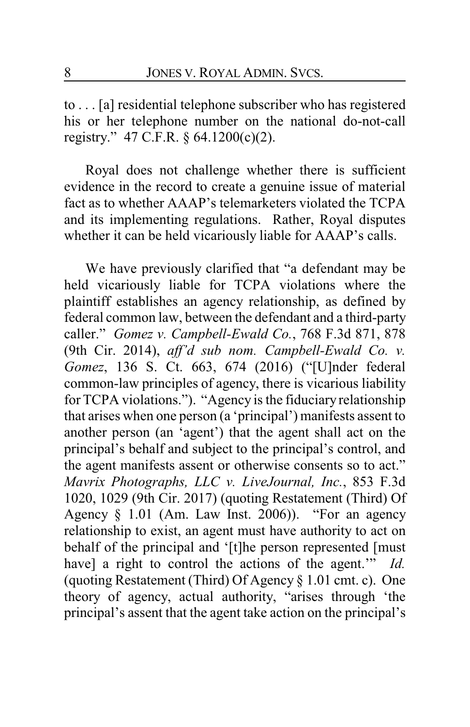to . . . [a] residential telephone subscriber who has registered his or her telephone number on the national do-not-call registry." 47 C.F.R. § 64.1200(c)(2).

Royal does not challenge whether there is sufficient evidence in the record to create a genuine issue of material fact as to whether AAAP's telemarketers violated the TCPA and its implementing regulations. Rather, Royal disputes whether it can be held vicariously liable for AAAP's calls.

We have previously clarified that "a defendant may be held vicariously liable for TCPA violations where the plaintiff establishes an agency relationship, as defined by federal common law, between the defendant and a third-party caller." *Gomez v. Campbell-Ewald Co.*, 768 F.3d 871, 878 (9th Cir. 2014), *aff'd sub nom. Campbell-Ewald Co. v. Gomez*, 136 S. Ct. 663, 674 (2016) ("[U]nder federal common-law principles of agency, there is vicarious liability for TCPA violations."). "Agency is the fiduciary relationship that arises when one person (a 'principal') manifests assent to another person (an 'agent') that the agent shall act on the principal's behalf and subject to the principal's control, and the agent manifests assent or otherwise consents so to act." *Mavrix Photographs, LLC v. LiveJournal, Inc.*, 853 F.3d 1020, 1029 (9th Cir. 2017) (quoting Restatement (Third) Of Agency  $\S$  1.01 (Am. Law Inst. 2006)). "For an agency relationship to exist, an agent must have authority to act on behalf of the principal and '[t]he person represented [must have] a right to control the actions of the agent.'" *Id.* (quoting Restatement (Third) Of Agency § 1.01 cmt. c). One theory of agency, actual authority, "arises through 'the principal's assent that the agent take action on the principal's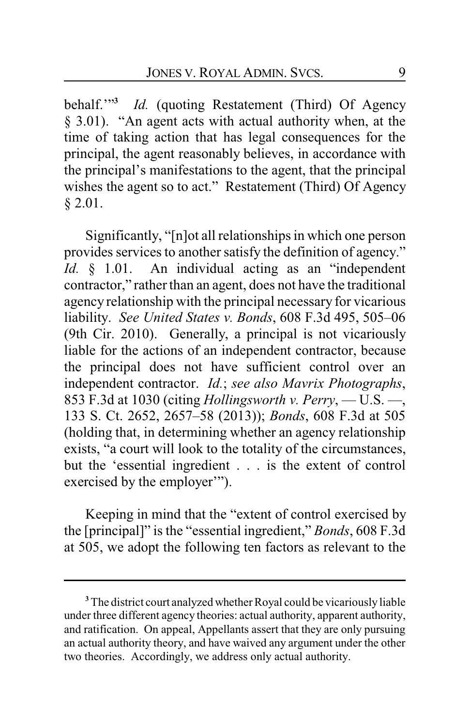behalf.'"**<sup>3</sup>** *Id.* (quoting Restatement (Third) Of Agency § 3.01). "An agent acts with actual authority when, at the time of taking action that has legal consequences for the principal, the agent reasonably believes, in accordance with the principal's manifestations to the agent, that the principal wishes the agent so to act." Restatement (Third) Of Agency § 2.01.

Significantly, "[n]ot all relationships in which one person provides services to another satisfy the definition of agency." *Id.* § 1.01. An individual acting as an "independent contractor," rather than an agent, does not have the traditional agency relationship with the principal necessary for vicarious liability. *See United States v. Bonds*, 608 F.3d 495, 505–06 (9th Cir. 2010). Generally, a principal is not vicariously liable for the actions of an independent contractor, because the principal does not have sufficient control over an independent contractor. *Id.*; *see also Mavrix Photographs*, 853 F.3d at 1030 (citing *Hollingsworth v. Perry*, — U.S. —, 133 S. Ct. 2652, 2657–58 (2013)); *Bonds*, 608 F.3d at 505 (holding that, in determining whether an agency relationship exists, "a court will look to the totality of the circumstances, but the 'essential ingredient . . . is the extent of control exercised by the employer'").

Keeping in mind that the "extent of control exercised by the [principal]" is the "essential ingredient," *Bonds*, 608 F.3d at 505, we adopt the following ten factors as relevant to the

**<sup>3</sup>**The district court analyzed whether Royal could be vicariously liable under three different agency theories: actual authority, apparent authority, and ratification. On appeal, Appellants assert that they are only pursuing an actual authority theory, and have waived any argument under the other two theories. Accordingly, we address only actual authority.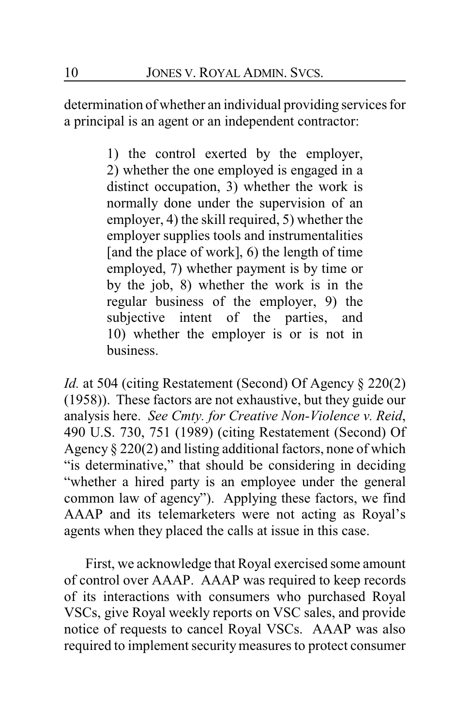determination of whether an individual providing services for a principal is an agent or an independent contractor:

> 1) the control exerted by the employer, 2) whether the one employed is engaged in a distinct occupation, 3) whether the work is normally done under the supervision of an employer, 4) the skill required, 5) whether the employer supplies tools and instrumentalities [and the place of work], 6) the length of time employed, 7) whether payment is by time or by the job, 8) whether the work is in the regular business of the employer, 9) the subjective intent of the parties, and 10) whether the employer is or is not in business.

*Id.* at 504 (citing Restatement (Second) Of Agency § 220(2) (1958)). These factors are not exhaustive, but they guide our analysis here. *See Cmty. for Creative Non-Violence v. Reid*, 490 U.S. 730, 751 (1989) (citing Restatement (Second) Of Agency § 220(2) and listing additional factors, none of which "is determinative," that should be considering in deciding "whether a hired party is an employee under the general common law of agency"). Applying these factors, we find AAAP and its telemarketers were not acting as Royal's agents when they placed the calls at issue in this case.

First, we acknowledge that Royal exercised some amount of control over AAAP. AAAP was required to keep records of its interactions with consumers who purchased Royal VSCs, give Royal weekly reports on VSC sales, and provide notice of requests to cancel Royal VSCs. AAAP was also required to implement securitymeasures to protect consumer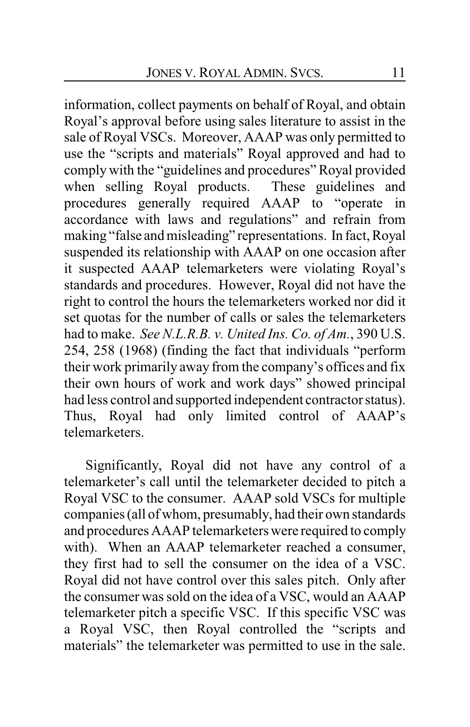information, collect payments on behalf of Royal, and obtain Royal's approval before using sales literature to assist in the sale of Royal VSCs. Moreover, AAAP was only permitted to use the "scripts and materials" Royal approved and had to comply with the "guidelines and procedures" Royal provided when selling Royal products. These guidelines and procedures generally required AAAP to "operate in accordance with laws and regulations" and refrain from making "false and misleading" representations. In fact, Royal suspended its relationship with AAAP on one occasion after it suspected AAAP telemarketers were violating Royal's standards and procedures. However, Royal did not have the right to control the hours the telemarketers worked nor did it set quotas for the number of calls or sales the telemarketers had to make. *See N.L.R.B. v. United Ins. Co. of Am.*, 390 U.S. 254, 258 (1968) (finding the fact that individuals "perform their work primarily away from the company's offices and fix their own hours of work and work days" showed principal had less control and supported independent contractor status). Thus, Royal had only limited control of AAAP's telemarketers.

Significantly, Royal did not have any control of a telemarketer's call until the telemarketer decided to pitch a Royal VSC to the consumer. AAAP sold VSCs for multiple companies (all of whom, presumably, had their own standards and procedures AAAP telemarketers were required to comply with). When an AAAP telemarketer reached a consumer, they first had to sell the consumer on the idea of a VSC. Royal did not have control over this sales pitch. Only after the consumer was sold on the idea of a VSC, would an AAAP telemarketer pitch a specific VSC. If this specific VSC was a Royal VSC, then Royal controlled the "scripts and materials" the telemarketer was permitted to use in the sale.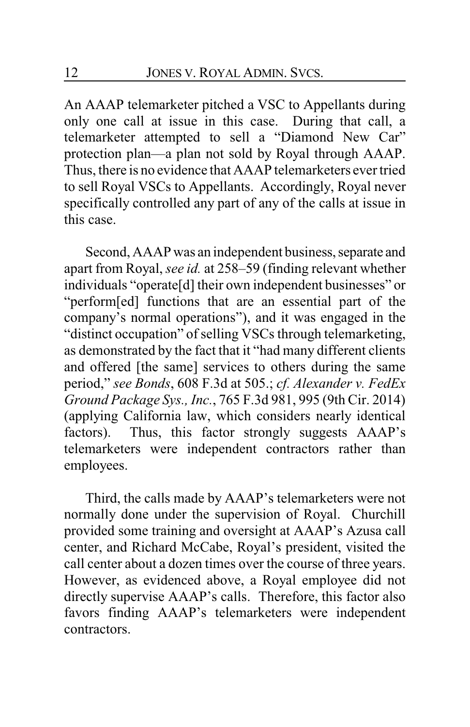An AAAP telemarketer pitched a VSC to Appellants during only one call at issue in this case. During that call, a telemarketer attempted to sell a "Diamond New Car" protection plan—a plan not sold by Royal through AAAP. Thus, there is no evidence that AAAP telemarketers ever tried to sell Royal VSCs to Appellants. Accordingly, Royal never specifically controlled any part of any of the calls at issue in this case.

Second, AAAP was an independent business, separate and apart from Royal, *see id.* at 258–59 (finding relevant whether individuals "operate[d] their own independent businesses" or "perform[ed] functions that are an essential part of the company's normal operations"), and it was engaged in the "distinct occupation" of selling VSCs through telemarketing, as demonstrated by the fact that it "had many different clients and offered [the same] services to others during the same period," *see Bonds*, 608 F.3d at 505.; *cf. Alexander v. FedEx Ground Package Sys., Inc.*, 765 F.3d 981, 995 (9th Cir. 2014) (applying California law, which considers nearly identical factors). Thus, this factor strongly suggests AAAP's telemarketers were independent contractors rather than employees.

Third, the calls made by AAAP's telemarketers were not normally done under the supervision of Royal. Churchill provided some training and oversight at AAAP's Azusa call center, and Richard McCabe, Royal's president, visited the call center about a dozen times over the course of three years. However, as evidenced above, a Royal employee did not directly supervise AAAP's calls. Therefore, this factor also favors finding AAAP's telemarketers were independent contractors.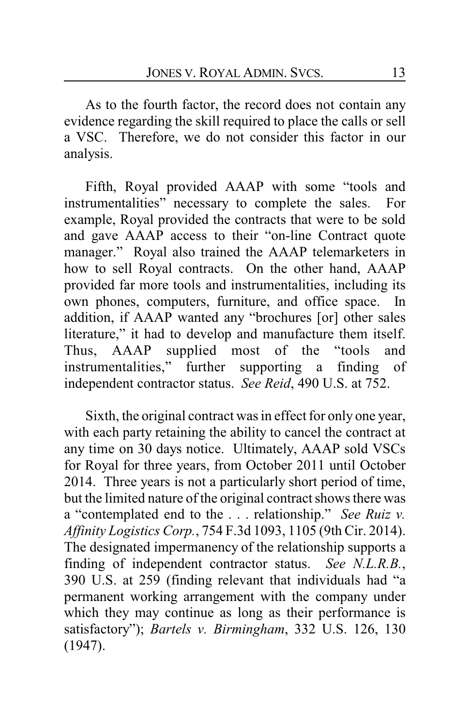As to the fourth factor, the record does not contain any evidence regarding the skill required to place the calls or sell a VSC. Therefore, we do not consider this factor in our analysis.

Fifth, Royal provided AAAP with some "tools and instrumentalities" necessary to complete the sales. For example, Royal provided the contracts that were to be sold and gave AAAP access to their "on-line Contract quote manager." Royal also trained the AAAP telemarketers in how to sell Royal contracts. On the other hand, AAAP provided far more tools and instrumentalities, including its own phones, computers, furniture, and office space. In addition, if AAAP wanted any "brochures [or] other sales literature," it had to develop and manufacture them itself. Thus, AAAP supplied most of the "tools and instrumentalities," further supporting a finding of independent contractor status. *See Reid*, 490 U.S. at 752.

Sixth, the original contract was in effect for only one year, with each party retaining the ability to cancel the contract at any time on 30 days notice. Ultimately, AAAP sold VSCs for Royal for three years, from October 2011 until October 2014. Three years is not a particularly short period of time, but the limited nature of the original contract shows there was a "contemplated end to the . . . relationship." *See Ruiz v. Affinity Logistics Corp.*, 754 F.3d 1093, 1105 (9th Cir. 2014). The designated impermanency of the relationship supports a finding of independent contractor status. *See N.L.R.B.*, 390 U.S. at 259 (finding relevant that individuals had "a permanent working arrangement with the company under which they may continue as long as their performance is satisfactory"); *Bartels v. Birmingham*, 332 U.S. 126, 130 (1947).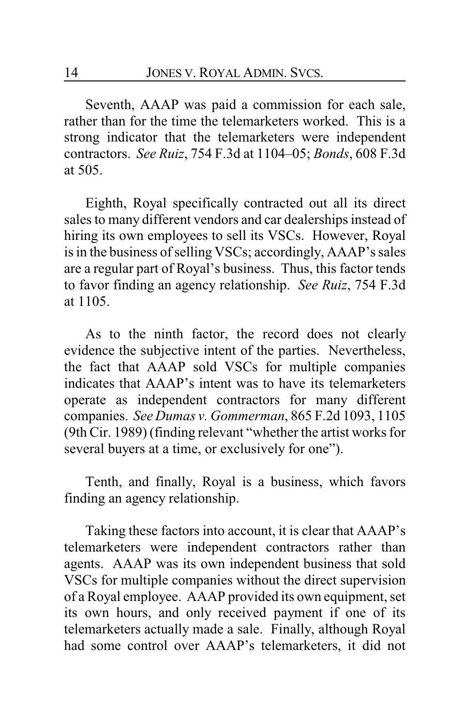Seventh, AAAP was paid a commission for each sale, rather than for the time the telemarketers worked. This is a strong indicator that the telemarketers were independent contractors. *See Ruiz*, 754 F.3d at 1104–05; *Bonds*, 608 F.3d at 505.

Eighth, Royal specifically contracted out all its direct sales to many different vendors and car dealerships instead of hiring its own employees to sell its VSCs. However, Royal is in the business of selling VSCs; accordingly, AAAP's sales are a regular part of Royal's business. Thus, this factor tends to favor finding an agency relationship. *See Ruiz*, 754 F.3d at 1105.

As to the ninth factor, the record does not clearly evidence the subjective intent of the parties. Nevertheless, the fact that AAAP sold VSCs for multiple companies indicates that AAAP's intent was to have its telemarketers operate as independent contractors for many different companies. *See Dumas v. Gommerman*, 865 F.2d 1093, 1105 (9th Cir. 1989) (finding relevant "whether the artist works for several buyers at a time, or exclusively for one").

Tenth, and finally, Royal is a business, which favors finding an agency relationship.

Taking these factors into account, it is clear that AAAP's telemarketers were independent contractors rather than agents. AAAP was its own independent business that sold VSCs for multiple companies without the direct supervision of a Royal employee. AAAP provided its own equipment, set its own hours, and only received payment if one of its telemarketers actually made a sale. Finally, although Royal had some control over AAAP's telemarketers, it did not